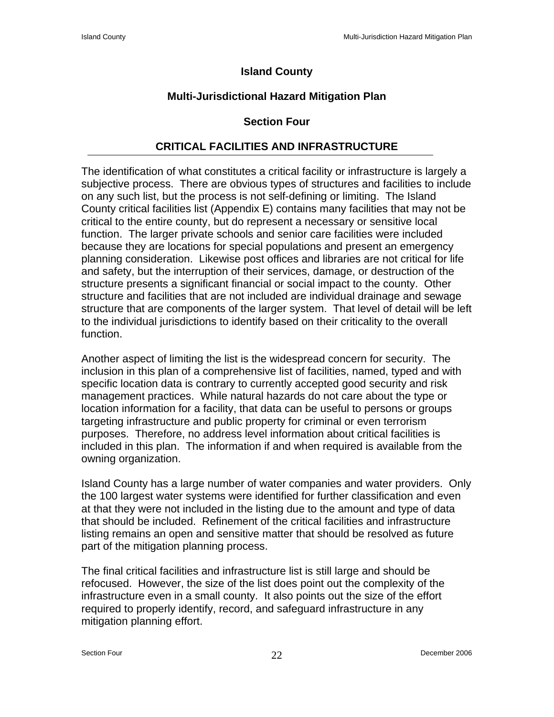## **Island County**

## **Multi-Jurisdictional Hazard Mitigation Plan**

## **Section Four**

## **CRITICAL FACILITIES AND INFRASTRUCTURE**

The identification of what constitutes a critical facility or infrastructure is largely a subjective process. There are obvious types of structures and facilities to include on any such list, but the process is not self-defining or limiting. The Island County critical facilities list (Appendix E) contains many facilities that may not be critical to the entire county, but do represent a necessary or sensitive local function. The larger private schools and senior care facilities were included because they are locations for special populations and present an emergency planning consideration. Likewise post offices and libraries are not critical for life and safety, but the interruption of their services, damage, or destruction of the structure presents a significant financial or social impact to the county. Other structure and facilities that are not included are individual drainage and sewage structure that are components of the larger system. That level of detail will be left to the individual jurisdictions to identify based on their criticality to the overall function.

Another aspect of limiting the list is the widespread concern for security. The inclusion in this plan of a comprehensive list of facilities, named, typed and with specific location data is contrary to currently accepted good security and risk management practices. While natural hazards do not care about the type or location information for a facility, that data can be useful to persons or groups targeting infrastructure and public property for criminal or even terrorism purposes. Therefore, no address level information about critical facilities is included in this plan. The information if and when required is available from the owning organization.

Island County has a large number of water companies and water providers. Only the 100 largest water systems were identified for further classification and even at that they were not included in the listing due to the amount and type of data that should be included. Refinement of the critical facilities and infrastructure listing remains an open and sensitive matter that should be resolved as future part of the mitigation planning process.

The final critical facilities and infrastructure list is still large and should be refocused. However, the size of the list does point out the complexity of the infrastructure even in a small county. It also points out the size of the effort required to properly identify, record, and safeguard infrastructure in any mitigation planning effort.